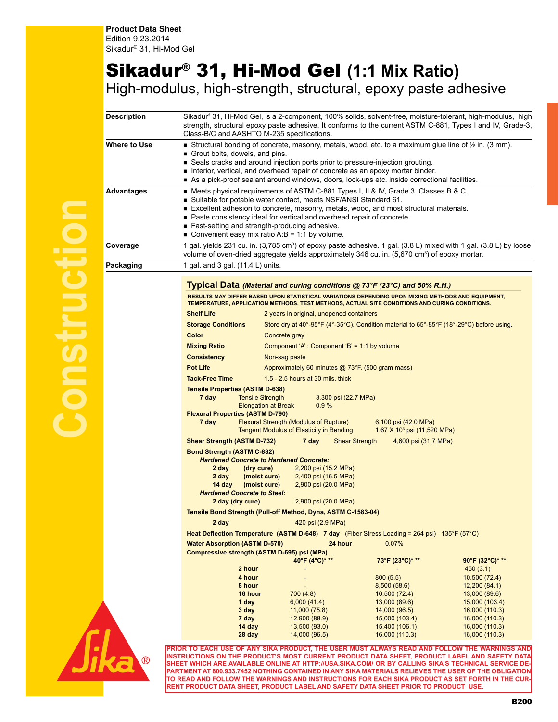## Sikadur® 31, Hi-Mod Gel **(1:1 Mix Ratio)** High-modulus, high-strength, structural, epoxy paste adhesive

| <b>Description</b>  | Sikadur®31, Hi-Mod Gel, is a 2-component, 100% solids, solvent-free, moisture-tolerant, high-modulus, high<br>strength, structural epoxy paste adhesive. It conforms to the current ASTM C-881, Types I and IV, Grade-3,<br>Class-B/C and AASHTO M-235 specifications. |                                                                              |                                                                                          |  |                                         |                                                                                                                                                                                              |  |  |  |
|---------------------|------------------------------------------------------------------------------------------------------------------------------------------------------------------------------------------------------------------------------------------------------------------------|------------------------------------------------------------------------------|------------------------------------------------------------------------------------------|--|-----------------------------------------|----------------------------------------------------------------------------------------------------------------------------------------------------------------------------------------------|--|--|--|
| <b>Where to Use</b> | Structural bonding of concrete, masonry, metals, wood, etc. to a maximum glue line of $\frac{1}{2}$ in. (3 mm).                                                                                                                                                        |                                                                              |                                                                                          |  |                                         |                                                                                                                                                                                              |  |  |  |
|                     | Grout bolts, dowels, and pins.                                                                                                                                                                                                                                         |                                                                              |                                                                                          |  |                                         |                                                                                                                                                                                              |  |  |  |
|                     | Seals cracks and around injection ports prior to pressure-injection grouting.<br>Interior, vertical, and overhead repair of concrete as an epoxy mortar binder.                                                                                                        |                                                                              |                                                                                          |  |                                         |                                                                                                                                                                                              |  |  |  |
|                     | As a pick-proof sealant around windows, doors, lock-ups etc. inside correctional facilities.                                                                                                                                                                           |                                                                              |                                                                                          |  |                                         |                                                                                                                                                                                              |  |  |  |
| <b>Advantages</b>   | ■ Meets physical requirements of ASTM C-881 Types I, II & IV, Grade 3, Classes B & C.                                                                                                                                                                                  |                                                                              |                                                                                          |  |                                         |                                                                                                                                                                                              |  |  |  |
|                     | ■ Suitable for potable water contact, meets NSF/ANSI Standard 61.                                                                                                                                                                                                      |                                                                              |                                                                                          |  |                                         |                                                                                                                                                                                              |  |  |  |
|                     | Excellent adhesion to concrete, masonry, metals, wood, and most structural materials.                                                                                                                                                                                  |                                                                              |                                                                                          |  |                                         |                                                                                                                                                                                              |  |  |  |
|                     | ■ Paste consistency ideal for vertical and overhead repair of concrete.                                                                                                                                                                                                |                                                                              |                                                                                          |  |                                         |                                                                                                                                                                                              |  |  |  |
|                     | ■ Fast-setting and strength-producing adhesive.                                                                                                                                                                                                                        |                                                                              |                                                                                          |  |                                         |                                                                                                                                                                                              |  |  |  |
|                     | ■ Convenient easy mix ratio A:B = 1:1 by volume.                                                                                                                                                                                                                       |                                                                              |                                                                                          |  |                                         |                                                                                                                                                                                              |  |  |  |
| Coverage            | 1 gal. yields 231 cu. in. (3,785 cm <sup>3</sup> ) of epoxy paste adhesive. 1 gal. (3.8 L) mixed with 1 gal. (3.8 L) by loose<br>volume of oven-dried aggregate yields approximately 346 cu. in. (5,670 cm <sup>3</sup> ) of epoxy mortar.                             |                                                                              |                                                                                          |  |                                         |                                                                                                                                                                                              |  |  |  |
| Packaging           | 1 gal. and 3 gal. (11.4 L) units.                                                                                                                                                                                                                                      |                                                                              |                                                                                          |  |                                         |                                                                                                                                                                                              |  |  |  |
|                     | Typical Data (Material and curing conditions @ 73°F (23°C) and 50% R.H.)                                                                                                                                                                                               |                                                                              |                                                                                          |  |                                         |                                                                                                                                                                                              |  |  |  |
|                     | RESULTS MAY DIFFER BASED UPON STATISTICAL VARIATIONS DEPENDING UPON MIXING METHODS AND EQUIPMENT,<br>TEMPERATURE, APPLICATION METHODS, TEST METHODS, ACTUAL SITE CONDITIONS AND CURING CONDITIONS.                                                                     |                                                                              |                                                                                          |  |                                         |                                                                                                                                                                                              |  |  |  |
|                     | <b>Shelf Life</b>                                                                                                                                                                                                                                                      |                                                                              | 2 years in original, unopened containers                                                 |  |                                         |                                                                                                                                                                                              |  |  |  |
|                     | <b>Storage Conditions</b>                                                                                                                                                                                                                                              |                                                                              | Store dry at 40°-95°F (4°-35°C). Condition material to 65°-85°F (18°-29°C) before using. |  |                                         |                                                                                                                                                                                              |  |  |  |
|                     | Color                                                                                                                                                                                                                                                                  |                                                                              | Concrete gray                                                                            |  |                                         |                                                                                                                                                                                              |  |  |  |
|                     | <b>Mixing Ratio</b>                                                                                                                                                                                                                                                    |                                                                              | Component 'A': Component 'B' = 1:1 by volume                                             |  |                                         |                                                                                                                                                                                              |  |  |  |
|                     | <b>Consistency</b><br>Non-sag paste                                                                                                                                                                                                                                    |                                                                              |                                                                                          |  |                                         |                                                                                                                                                                                              |  |  |  |
|                     | <b>Pot Life</b><br>Approximately 60 minutes @ 73°F. (500 gram mass)                                                                                                                                                                                                    |                                                                              |                                                                                          |  |                                         |                                                                                                                                                                                              |  |  |  |
|                     | <b>Tack-Free Time</b><br>1.5 - 2.5 hours at 30 mils. thick                                                                                                                                                                                                             |                                                                              |                                                                                          |  |                                         |                                                                                                                                                                                              |  |  |  |
|                     | <b>Tensile Properties (ASTM D-638)</b>                                                                                                                                                                                                                                 |                                                                              |                                                                                          |  |                                         |                                                                                                                                                                                              |  |  |  |
|                     | 7 day<br><b>Tensile Strength</b><br>3,300 psi (22.7 MPa)                                                                                                                                                                                                               |                                                                              |                                                                                          |  |                                         |                                                                                                                                                                                              |  |  |  |
|                     | 0.9%<br><b>Elongation at Break</b>                                                                                                                                                                                                                                     |                                                                              |                                                                                          |  |                                         |                                                                                                                                                                                              |  |  |  |
|                     | <b>Flexural Properties (ASTM D-790)</b><br><b>Flexural Strength (Modulus of Rupture)</b><br>7 day<br>6,100 psi (42.0 MPa)                                                                                                                                              |                                                                              |                                                                                          |  |                                         |                                                                                                                                                                                              |  |  |  |
|                     |                                                                                                                                                                                                                                                                        |                                                                              | <b>Tangent Modulus of Elasticity in Bending</b>                                          |  | 1.67 X 10 <sup>6</sup> psi (11,520 MPa) |                                                                                                                                                                                              |  |  |  |
|                     | <b>Shear Strength (ASTM D-732)</b><br>7 day<br><b>Shear Strength</b><br>4,600 psi (31.7 MPa)                                                                                                                                                                           |                                                                              |                                                                                          |  |                                         |                                                                                                                                                                                              |  |  |  |
|                     | <b>Bond Strength (ASTM C-882)</b>                                                                                                                                                                                                                                      |                                                                              |                                                                                          |  |                                         |                                                                                                                                                                                              |  |  |  |
|                     | <b>Hardened Concrete to Hardened Concrete:</b>                                                                                                                                                                                                                         |                                                                              |                                                                                          |  |                                         |                                                                                                                                                                                              |  |  |  |
|                     | 2 day<br>(dry cure)<br>2,200 psi (15.2 MPa)<br>2 day                                                                                                                                                                                                                   |                                                                              |                                                                                          |  |                                         |                                                                                                                                                                                              |  |  |  |
|                     | 14 day                                                                                                                                                                                                                                                                 | (moist cure)<br>2,400 psi (16.5 MPa)<br>(moist cure)<br>2,900 psi (20.0 MPa) |                                                                                          |  |                                         |                                                                                                                                                                                              |  |  |  |
|                     | <b>Hardened Concrete to Steel:</b>                                                                                                                                                                                                                                     |                                                                              |                                                                                          |  |                                         |                                                                                                                                                                                              |  |  |  |
|                     | 2 day (dry cure)<br>2,900 psi (20.0 MPa)                                                                                                                                                                                                                               |                                                                              |                                                                                          |  |                                         |                                                                                                                                                                                              |  |  |  |
|                     | Tensile Bond Strength (Pull-off Method, Dyna, ASTM C-1583-04)                                                                                                                                                                                                          |                                                                              |                                                                                          |  |                                         |                                                                                                                                                                                              |  |  |  |
|                     | 2 day<br>420 psi (2.9 MPa)                                                                                                                                                                                                                                             |                                                                              |                                                                                          |  |                                         |                                                                                                                                                                                              |  |  |  |
|                     | <b>Heat Deflection Temperature (ASTM D-648) 7 day</b> (Fiber Stress Loading = 264 psi) 135°F (57°C)                                                                                                                                                                    |                                                                              |                                                                                          |  |                                         |                                                                                                                                                                                              |  |  |  |
|                     | <b>Water Absorption (ASTM D-570)</b><br>24 hour<br>0.07%<br>Compressive strength (ASTM D-695) psi (MPa)                                                                                                                                                                |                                                                              |                                                                                          |  |                                         |                                                                                                                                                                                              |  |  |  |
|                     |                                                                                                                                                                                                                                                                        |                                                                              | 40°F (4°C)* **                                                                           |  | 73°F (23°C)* **                         | 90°F (32°C)* **                                                                                                                                                                              |  |  |  |
|                     |                                                                                                                                                                                                                                                                        | 2 hour                                                                       |                                                                                          |  |                                         | 450(3.1)                                                                                                                                                                                     |  |  |  |
|                     |                                                                                                                                                                                                                                                                        | 4 hour                                                                       |                                                                                          |  | 800(5.5)                                | 10,500 (72.4)                                                                                                                                                                                |  |  |  |
|                     |                                                                                                                                                                                                                                                                        | 8 hour                                                                       |                                                                                          |  | 8,500(58.6)                             | 12,200(84.1)                                                                                                                                                                                 |  |  |  |
|                     |                                                                                                                                                                                                                                                                        | 16 hour                                                                      | 700 (4.8)                                                                                |  | 10,500(72.4)                            | 13,000 (89.6)                                                                                                                                                                                |  |  |  |
|                     |                                                                                                                                                                                                                                                                        | 1 day<br>3 day                                                               | 6,000(41.4)<br>11,000(75.8)                                                              |  | 13,000 (89.6)<br>14,000 (96.5)          | 15,000 (103.4)                                                                                                                                                                               |  |  |  |
|                     |                                                                                                                                                                                                                                                                        | 7 day                                                                        | 12,900 (88.9)                                                                            |  | 15,000 (103.4)                          | 16,000 (110.3)<br>16,000 (110.3)                                                                                                                                                             |  |  |  |
|                     |                                                                                                                                                                                                                                                                        | 14 day                                                                       | 13,500 (93.0)                                                                            |  | 15,400 (106.1)                          | 16,000 (110.3)                                                                                                                                                                               |  |  |  |
|                     |                                                                                                                                                                                                                                                                        | 28 day                                                                       | 14,000 (96.5)                                                                            |  | 16,000 (110.3)                          | 16,000 (110.3)                                                                                                                                                                               |  |  |  |
|                     |                                                                                                                                                                                                                                                                        |                                                                              |                                                                                          |  |                                         |                                                                                                                                                                                              |  |  |  |
|                     |                                                                                                                                                                                                                                                                        |                                                                              |                                                                                          |  |                                         | PRIOR TO EACH USE OF ANY SIKA PRODUCT, THE USER MUST ALWAYS READ AND FOLLOW THE WARNINGS AND<br>INSTRUCTIONS ON THE PRODUCT'S MOST CURRENT PRODUCT DATA SHEET, PRODUCT LABEL AND SAFETY DATA |  |  |  |
| $^{\circledR}$      |                                                                                                                                                                                                                                                                        |                                                                              |                                                                                          |  |                                         | SHEET WHICH ARE AVAILABLE ONLINE AT HTTP://USA.SIKA.COM/ OR BY CALLING SIKA'S TECHNICAL SERVICE DE-                                                                                          |  |  |  |
|                     |                                                                                                                                                                                                                                                                        |                                                                              |                                                                                          |  |                                         | PARTMENT AT 800.933.7452 NOTHING CONTAINED IN ANY SIKA MATERIALS RELIEVES THE USER OF THE OBLIGATION                                                                                         |  |  |  |



**TO READ AND FOLLOW THE WARNINGS AND INSTRUCTIONS FOR EACH SIKA PRODUCT AS SET FORTH IN THE CUR-RENT PRODUCT DATA SHEET, PRODUCT LABEL AND SAFETY DATA SHEET PRIOR TO PRODUCT USE.**